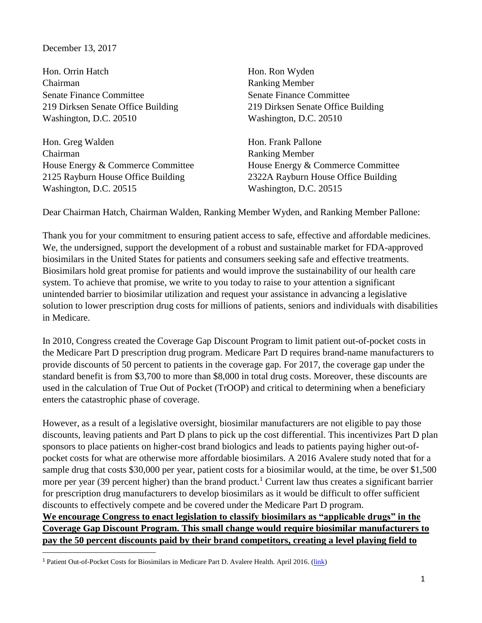## December 13, 2017

 $\overline{\phantom{a}}$ 

Hon. Orrin Hatch Hon. Ron Wyden Chairman Ranking Member Senate Finance Committee Senate Finance Committee Washington, D.C. 20510 Washington, D.C. 20510

Hon. Greg Walden Chairman House Energy & Commerce Committee 2125 Rayburn House Office Building Washington, D.C. 20515

219 Dirksen Senate Office Building 219 Dirksen Senate Office Building

Hon. Frank Pallone Ranking Member House Energy & Commerce Committee 2322A Rayburn House Office Building Washington, D.C. 20515

Dear Chairman Hatch, Chairman Walden, Ranking Member Wyden, and Ranking Member Pallone:

Thank you for your commitment to ensuring patient access to safe, effective and affordable medicines. We, the undersigned, support the development of a robust and sustainable market for FDA-approved biosimilars in the United States for patients and consumers seeking safe and effective treatments. Biosimilars hold great promise for patients and would improve the sustainability of our health care system. To achieve that promise, we write to you today to raise to your attention a significant unintended barrier to biosimilar utilization and request your assistance in advancing a legislative solution to lower prescription drug costs for millions of patients, seniors and individuals with disabilities in Medicare.

In 2010, Congress created the Coverage Gap Discount Program to limit patient out-of-pocket costs in the Medicare Part D prescription drug program. Medicare Part D requires brand-name manufacturers to provide discounts of 50 percent to patients in the coverage gap. For 2017, the coverage gap under the standard benefit is from \$3,700 to more than \$8,000 in total drug costs. Moreover, these discounts are used in the calculation of True Out of Pocket (TrOOP) and critical to determining when a beneficiary enters the catastrophic phase of coverage.

However, as a result of a legislative oversight, biosimilar manufacturers are not eligible to pay those discounts, leaving patients and Part D plans to pick up the cost differential. This incentivizes Part D plan sponsors to place patients on higher-cost brand biologics and leads to patients paying higher out-ofpocket costs for what are otherwise more affordable biosimilars. A 2016 Avalere study noted that for a sample drug that costs \$30,000 per year, patient costs for a biosimilar would, at the time, be over \$1,500 more per year (39 percent higher) than the brand product.<sup>1</sup> Current law thus creates a significant barrier for prescription drug manufacturers to develop biosimilars as it would be difficult to offer sufficient discounts to effectively compete and be covered under the Medicare Part D program. **We encourage Congress to enact legislation to classify biosimilars as "applicable drugs" in the** 

## **Coverage Gap Discount Program. This small change would require biosimilar manufacturers to pay the 50 percent discounts paid by their brand competitors, creating a level playing field to**

<sup>&</sup>lt;sup>1</sup> Patient Out-of-Pocket Costs for Biosimilars in Medicare Part D. Avalere Health. April 2016. (*link*)